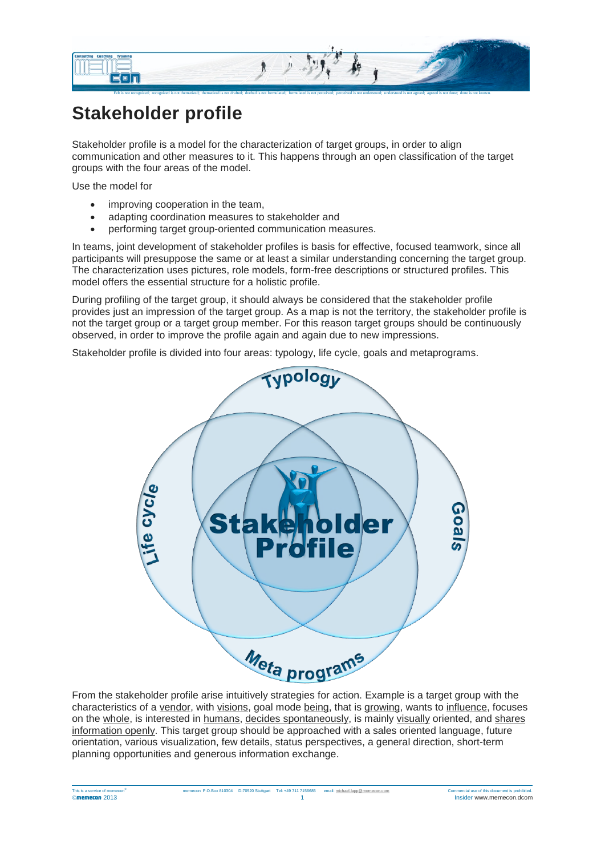

## **Stakeholder profile**

Stakeholder profile is a model for the characterization of target groups, in order to align communication and other measures to it. This happens through an open classification of the target groups with the four areas of the model.

Use the model for

- improving cooperation in the team,
- adapting coordination measures to stakeholder and
- performing target group-oriented communication measures.

In teams, joint development of stakeholder profiles is basis for effective, focused teamwork, since all participants will presuppose the same or at least a similar understanding concerning the target group. The characterization uses pictures, role models, form-free descriptions or structured profiles. This model offers the essential structure for a holistic profile.

During profiling of the target group, it should always be considered that the stakeholder profile provides just an impression of the target group. As a map is not the territory, the stakeholder profile is not the target group or a target group member. For this reason target groups should be continuously observed, in order to improve the profile again and again due to new impressions.

Stakeholder profile is divided into four areas: typology, life cycle, goals and metaprograms.



From the stakeholder profile arise intuitively strategies for action. Example is a target group with the characteristics of a vendor, with visions, goal mode being, that is growing, wants to influence, focuses on the whole, is interested in humans, decides spontaneously, is mainly visually oriented, and shares information openly. This target group should be approached with a sales oriented language, future orientation, various visualization, few details, status perspectives, a general direction, short-term planning opportunities and generous information exchange.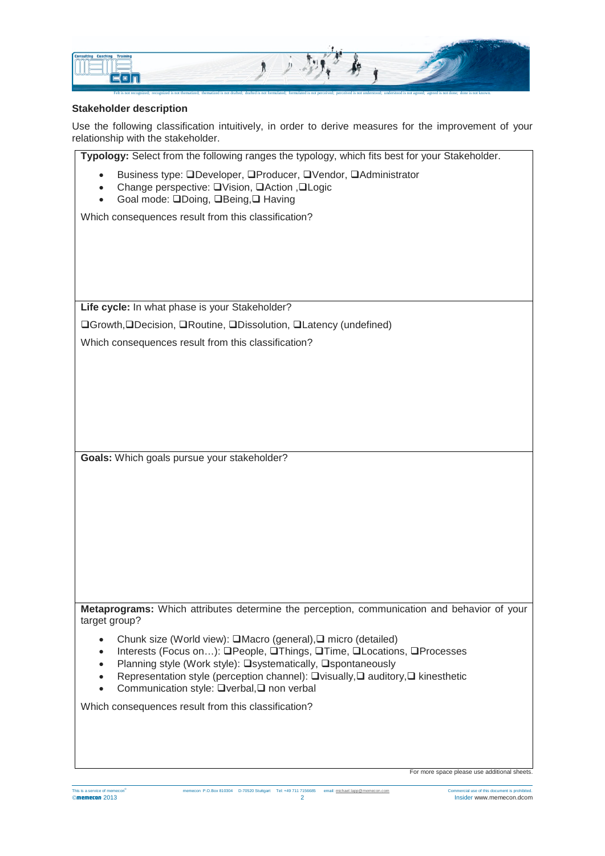

## **Stakeholder description**

Use the following classification intuitively, in order to derive measures for the improvement of your relationship with the stakeholder.

**Typology:** Select from the following ranges the typology, which fits best for your Stakeholder.

- Business type: QDeveloper, QProducer, QVendor, QAdministrator
- Change perspective: UVision, UAction , ULogic
- Goal mode: QDoing, QBeing, Q Having

Which consequences result from this classification?

**Life cycle:** In what phase is your Stakeholder?

**□Growth, ODecision, ORoutine, ODissolution, OLatency (undefined)** 

Which consequences result from this classification?

**Goals:** Which goals pursue your stakeholder?

**Metaprograms:** Which attributes determine the perception, communication and behavior of your target group?

- Chunk size (World view): □Macro (general), □ micro (detailed)
- Interests (Focus on...): OPeople, OThings, OTime, OLocations, OProcesses
- Planning style (Work style): **O**systematically, Ospontaneously
- Representation style (perception channel):  $\Box$  visually,  $\Box$  auditory,  $\Box$  kinesthetic
- Communication style:  $\Box$  verbal,  $\Box$  non verbal

Which consequences result from this classification?

For more space please use additional sheets.